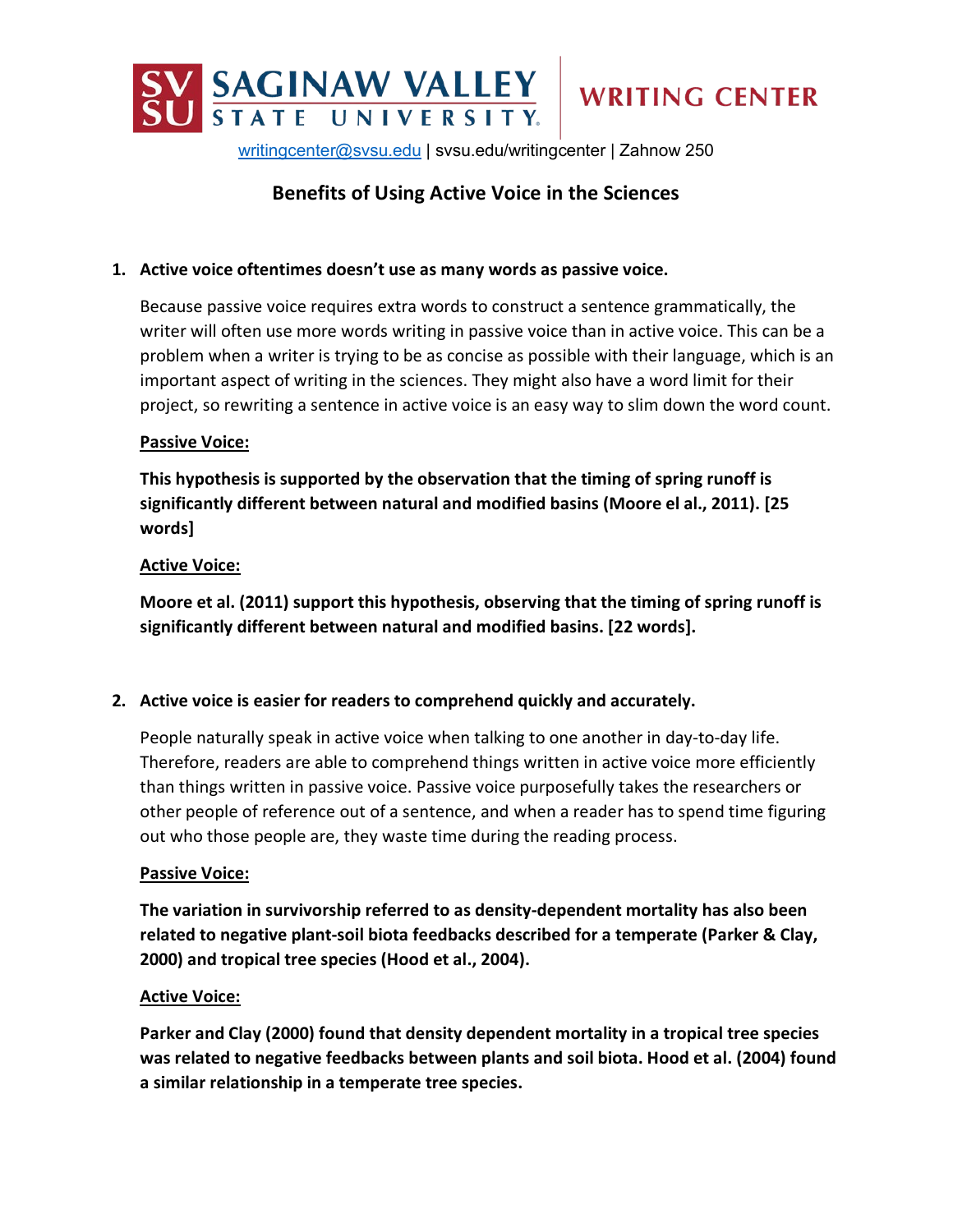

[writingcenter@svsu.edu](mailto:writingcenter@svsu.edu%7C) | svsu.edu/writingcenter | Zahnow 250

# **Benefits of Using Active Voice in the Sciences**

### **1. Active voice oftentimes doesn't use as many words as passive voice.**

Because passive voice requires extra words to construct a sentence grammatically, the writer will often use more words writing in passive voice than in active voice. This can be a problem when a writer is trying to be as concise as possible with their language, which is an important aspect of writing in the sciences. They might also have a word limit for their project, so rewriting a sentence in active voice is an easy way to slim down the word count.

#### **Passive Voice:**

**This hypothesis is supported by the observation that the timing of spring runoff is significantly different between natural and modified basins (Moore el al., 2011). [25 words]**

#### **Active Voice:**

**Moore et al. (2011) support this hypothesis, observing that the timing of spring runoff is significantly different between natural and modified basins. [22 words].**

#### **2. Active voice is easier for readers to comprehend quickly and accurately.**

People naturally speak in active voice when talking to one another in day-to-day life. Therefore, readers are able to comprehend things written in active voice more efficiently than things written in passive voice. Passive voice purposefully takes the researchers or other people of reference out of a sentence, and when a reader has to spend time figuring out who those people are, they waste time during the reading process.

#### **Passive Voice:**

**The variation in survivorship referred to as density-dependent mortality has also been related to negative plant-soil biota feedbacks described for a temperate (Parker & Clay, 2000) and tropical tree species (Hood et al., 2004).**

#### **Active Voice:**

**Parker and Clay (2000) found that density dependent mortality in a tropical tree species was related to negative feedbacks between plants and soil biota. Hood et al. (2004) found a similar relationship in a temperate tree species.**